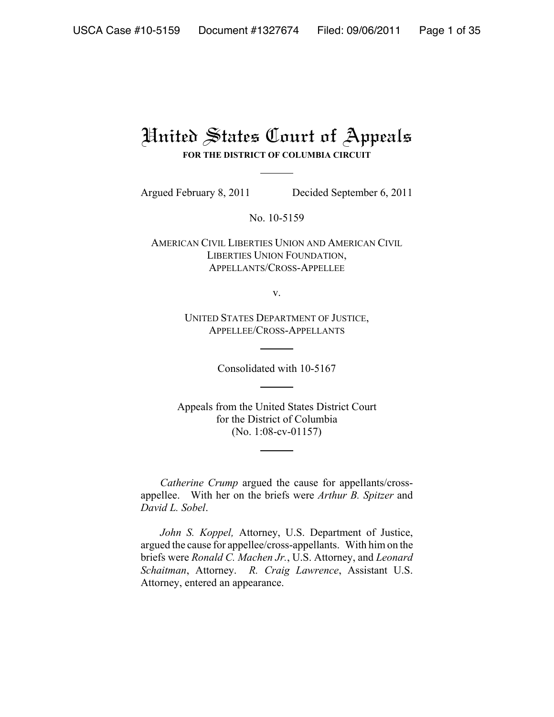# United States Court of Appeals

**FOR THE DISTRICT OF COLUMBIA CIRCUIT**

Argued February 8, 2011 Decided September 6, 2011

No. 10-5159

AMERICAN CIVIL LIBERTIES UNION AND AMERICAN CIVIL LIBERTIES UNION FOUNDATION, APPELLANTS/CROSS-APPELLEE

v.

UNITED STATES DEPARTMENT OF JUSTICE, APPELLEE/CROSS-APPELLANTS

Consolidated with 10-5167

Appeals from the United States District Court for the District of Columbia (No. 1:08-cv-01157)

*Catherine Crump* argued the cause for appellants/crossappellee. With her on the briefs were *Arthur B. Spitzer* and *David L. Sobel*.

*John S. Koppel,* Attorney, U.S. Department of Justice, argued the cause for appellee/cross-appellants. With him on the briefs were *Ronald C. Machen Jr.*, U.S. Attorney, and *Leonard Schaitman*, Attorney. *R. Craig Lawrence*, Assistant U.S. Attorney, entered an appearance.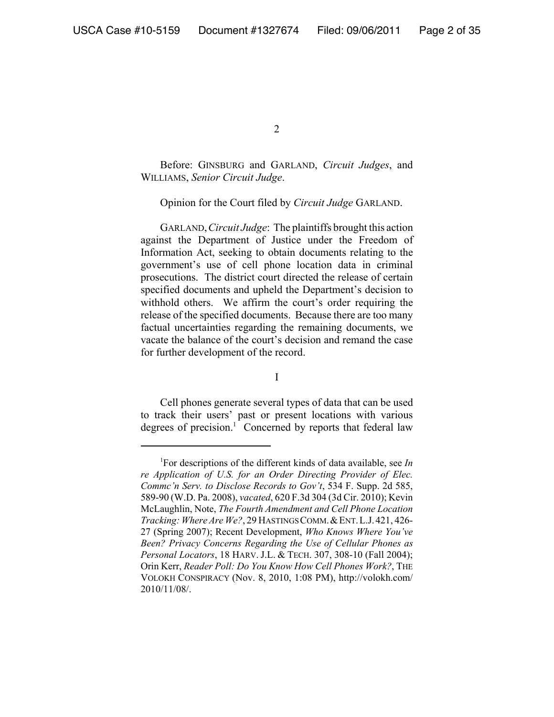Before: GINSBURG and GARLAND, *Circuit Judges*, and WILLIAMS, *Senior Circuit Judge*.

### Opinion for the Court filed by *Circuit Judge* GARLAND.

GARLAND,*Circuit Judge*: The plaintiffs brought this action against the Department of Justice under the Freedom of Information Act, seeking to obtain documents relating to the government's use of cell phone location data in criminal prosecutions. The district court directed the release of certain specified documents and upheld the Department's decision to withhold others. We affirm the court's order requiring the release of the specified documents. Because there are too many factual uncertainties regarding the remaining documents, we vacate the balance of the court's decision and remand the case for further development of the record.

I

Cell phones generate several types of data that can be used to track their users' past or present locations with various degrees of precision.<sup>1</sup> Concerned by reports that federal law

<sup>1</sup> For descriptions of the different kinds of data available, see *In re Application of U.S. for an Order Directing Provider of Elec. Commc'n Serv. to Disclose Records to Gov't*, 534 F. Supp. 2d 585, 589-90 (W.D. Pa. 2008), *vacated*, 620 F.3d 304 (3d Cir. 2010); Kevin McLaughlin, Note, *The Fourth Amendment and Cell Phone Location Tracking: Where Are We?*, 29 HASTINGS COMM.&ENT.L.J.421, 426- 27 (Spring 2007); Recent Development, *Who Knows Where You've Been? Privacy Concerns Regarding the Use of Cellular Phones as Personal Locators*, 18 HARV. J.L. & TECH. 307, 308-10 (Fall 2004); Orin Kerr, *Reader Poll: Do You Know How Cell Phones Work?*, THE VOLOKH CONSPIRACY (Nov. 8, 2010, 1:08 PM), http://volokh.com/ 2010/11/08/.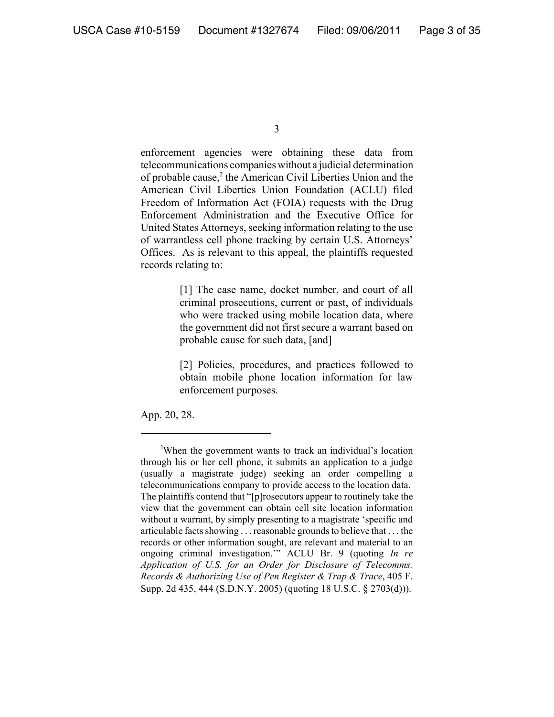enforcement agencies were obtaining these data from telecommunications companies without a judicial determination of probable cause,<sup>2</sup> the American Civil Liberties Union and the American Civil Liberties Union Foundation (ACLU) filed Freedom of Information Act (FOIA) requests with the Drug Enforcement Administration and the Executive Office for United States Attorneys, seeking information relating to the use of warrantless cell phone tracking by certain U.S. Attorneys' Offices. As is relevant to this appeal, the plaintiffs requested records relating to:

> [1] The case name, docket number, and court of all criminal prosecutions, current or past, of individuals who were tracked using mobile location data, where the government did not first secure a warrant based on probable cause for such data, [and]

> [2] Policies, procedures, and practices followed to obtain mobile phone location information for law enforcement purposes.

App. 20, 28.

<sup>3</sup>

<sup>&</sup>lt;sup>2</sup>When the government wants to track an individual's location through his or her cell phone, it submits an application to a judge (usually a magistrate judge) seeking an order compelling a telecommunications company to provide access to the location data. The plaintiffs contend that "[p]rosecutors appear to routinely take the view that the government can obtain cell site location information without a warrant, by simply presenting to a magistrate 'specific and articulable facts showing . . . reasonable grounds to believe that . . . the records or other information sought, are relevant and material to an ongoing criminal investigation.'" ACLU Br. 9 (quoting *In re Application of U.S. for an Order for Disclosure of Telecomms. Records & Authorizing Use of Pen Register & Trap & Trace*, 405 F. Supp. 2d 435, 444 (S.D.N.Y. 2005) (quoting 18 U.S.C. § 2703(d))).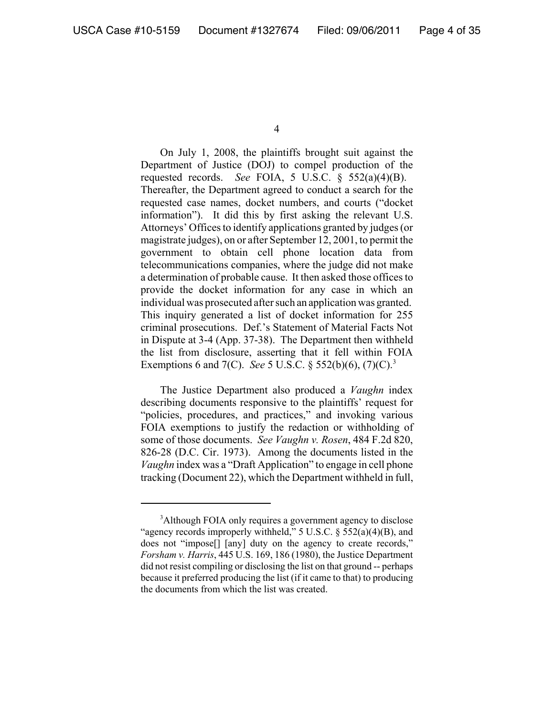On July 1, 2008, the plaintiffs brought suit against the Department of Justice (DOJ) to compel production of the requested records. *See* FOIA, 5 U.S.C. § 552(a)(4)(B). Thereafter, the Department agreed to conduct a search for the requested case names, docket numbers, and courts ("docket information"). It did this by first asking the relevant U.S. Attorneys' Offices to identify applications granted by judges (or magistrate judges), on or after September 12, 2001, to permit the government to obtain cell phone location data from telecommunications companies, where the judge did not make a determination of probable cause. It then asked those offices to provide the docket information for any case in which an individual was prosecuted after such an application was granted. This inquiry generated a list of docket information for 255 criminal prosecutions. Def.'s Statement of Material Facts Not in Dispute at 3-4 (App. 37-38). The Department then withheld the list from disclosure, asserting that it fell within FOIA Exemptions 6 and 7(C). *See* 5 U.S.C. § 552(b)(6), (7)(C).3

The Justice Department also produced a *Vaughn* index describing documents responsive to the plaintiffs' request for "policies, procedures, and practices," and invoking various FOIA exemptions to justify the redaction or withholding of some of those documents. *See Vaughn v. Rosen*, 484 F.2d 820, 826-28 (D.C. Cir. 1973). Among the documents listed in the *Vaughn* index was a "Draft Application" to engage in cell phone tracking (Document 22), which the Department withheld in full,

<sup>&</sup>lt;sup>3</sup>Although FOIA only requires a government agency to disclose "agency records improperly withheld," 5 U.S.C.  $\S$  552(a)(4)(B), and does not "impose[] [any] duty on the agency to create records," *Forsham v. Harris*, 445 U.S. 169, 186 (1980), the Justice Department did not resist compiling or disclosing the list on that ground -- perhaps because it preferred producing the list (if it came to that) to producing the documents from which the list was created.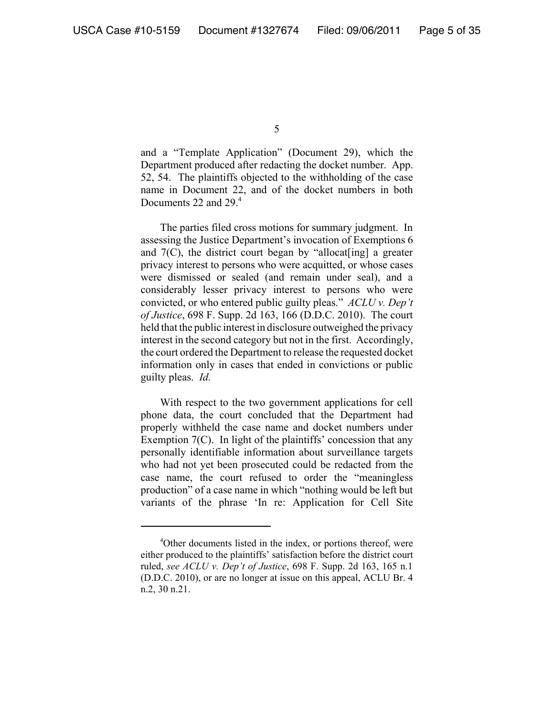and a "Template Application" (Document 29), which the Department produced after redacting the docket number. App. 52, 54. The plaintiffs objected to the withholding of the case name in Document 22, and of the docket numbers in both Documents 22 and 29.<sup>4</sup>

The parties filed cross motions for summary judgment. In assessing the Justice Department's invocation of Exemptions 6 and  $7(C)$ , the district court began by "allocat [ing] a greater privacy interest to persons who were acquitted, or whose cases were dismissed or sealed (and remain under seal), and a considerably lesser privacy interest to persons who were convicted, or who entered public guilty pleas." *ACLU v. Dep't of Justice*, 698 F. Supp. 2d 163, 166 (D.D.C. 2010). The court held that the public interest in disclosure outweighed the privacy interest in the second category but not in the first. Accordingly, the court ordered the Department to release the requested docket information only in cases that ended in convictions or public guilty pleas. *Id.*

With respect to the two government applications for cell phone data, the court concluded that the Department had properly withheld the case name and docket numbers under Exemption 7(C). In light of the plaintiffs' concession that any personally identifiable information about surveillance targets who had not yet been prosecuted could be redacted from the case name, the court refused to order the "meaningless production" of a case name in which "nothing would be left but variants of the phrase 'In re: Application for Cell Site

<sup>4</sup> Other documents listed in the index, or portions thereof, were either produced to the plaintiffs' satisfaction before the district court ruled, *see ACLU v. Dep't of Justice*, 698 F. Supp. 2d 163, 165 n.1 (D.D.C. 2010), or are no longer at issue on this appeal, ACLU Br. 4 n.2, 30 n.21.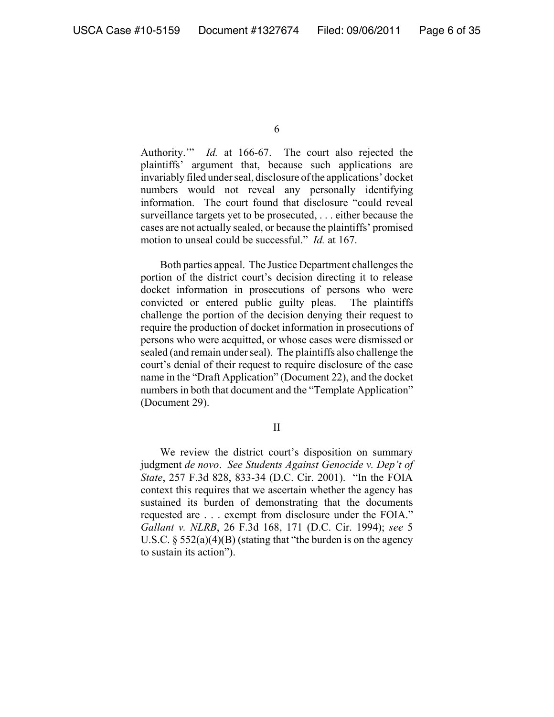Authority.'" *Id.* at 166-67. The court also rejected the plaintiffs' argument that, because such applications are invariably filed under seal, disclosure of the applications' docket numbers would not reveal any personally identifying information. The court found that disclosure "could reveal surveillance targets yet to be prosecuted, . . . either because the cases are not actually sealed, or because the plaintiffs' promised motion to unseal could be successful." *Id.* at 167.

Both parties appeal. The Justice Department challenges the portion of the district court's decision directing it to release docket information in prosecutions of persons who were convicted or entered public guilty pleas. The plaintiffs challenge the portion of the decision denying their request to require the production of docket information in prosecutions of persons who were acquitted, or whose cases were dismissed or sealed (and remain under seal). The plaintiffs also challenge the court's denial of their request to require disclosure of the case name in the "Draft Application" (Document 22), and the docket numbers in both that document and the "Template Application" (Document 29).

II

We review the district court's disposition on summary judgment *de novo*. *See Students Against Genocide v. Dep't of State*, 257 F.3d 828, 833-34 (D.C. Cir. 2001). "In the FOIA context this requires that we ascertain whether the agency has sustained its burden of demonstrating that the documents requested are . . . exempt from disclosure under the FOIA." *Gallant v. NLRB*, 26 F.3d 168, 171 (D.C. Cir. 1994); *see* 5 U.S.C.  $\S 552(a)(4)(B)$  (stating that "the burden is on the agency to sustain its action").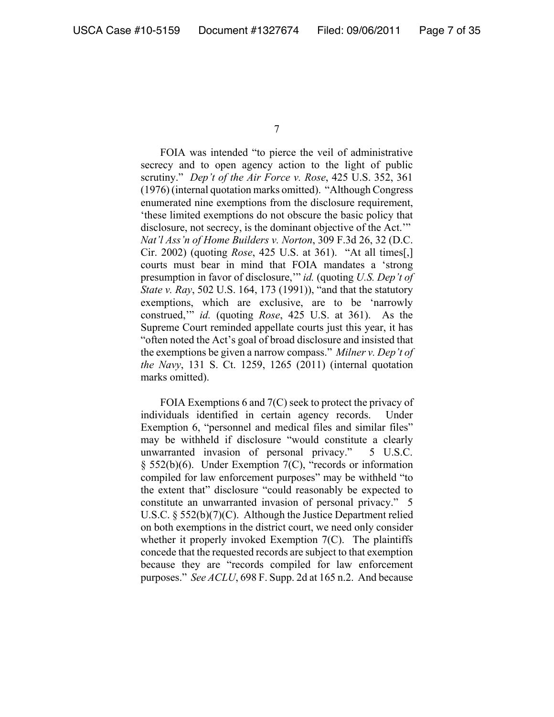FOIA was intended "to pierce the veil of administrative secrecy and to open agency action to the light of public scrutiny." *Dep't of the Air Force v. Rose*, 425 U.S. 352, 361 (1976) (internal quotation marks omitted). "Although Congress enumerated nine exemptions from the disclosure requirement, 'these limited exemptions do not obscure the basic policy that disclosure, not secrecy, is the dominant objective of the Act.'" *Nat'l Ass'n of Home Builders v. Norton*, 309 F.3d 26, 32 (D.C. Cir. 2002) (quoting *Rose*, 425 U.S. at 361). "At all times[,] courts must bear in mind that FOIA mandates a 'strong presumption in favor of disclosure,'" *id.* (quoting *U.S. Dep't of State v. Ray*, 502 U.S. 164, 173 (1991)), "and that the statutory exemptions, which are exclusive, are to be 'narrowly construed,'" *id.* (quoting *Rose*, 425 U.S. at 361). As the Supreme Court reminded appellate courts just this year, it has "often noted the Act's goal of broad disclosure and insisted that the exemptions be given a narrow compass." *Milner v. Dep't of the Navy*, 131 S. Ct. 1259, 1265 (2011) (internal quotation marks omitted).

FOIA Exemptions 6 and 7(C) seek to protect the privacy of individuals identified in certain agency records. Under Exemption 6, "personnel and medical files and similar files" may be withheld if disclosure "would constitute a clearly unwarranted invasion of personal privacy." 5 U.S.C. § 552(b)(6). Under Exemption 7(C), "records or information compiled for law enforcement purposes" may be withheld "to the extent that" disclosure "could reasonably be expected to constitute an unwarranted invasion of personal privacy." 5 U.S.C. § 552(b)(7)(C). Although the Justice Department relied on both exemptions in the district court, we need only consider whether it properly invoked Exemption 7(C). The plaintiffs concede that the requested records are subject to that exemption because they are "records compiled for law enforcement purposes." *See ACLU*, 698 F. Supp. 2d at 165 n.2. And because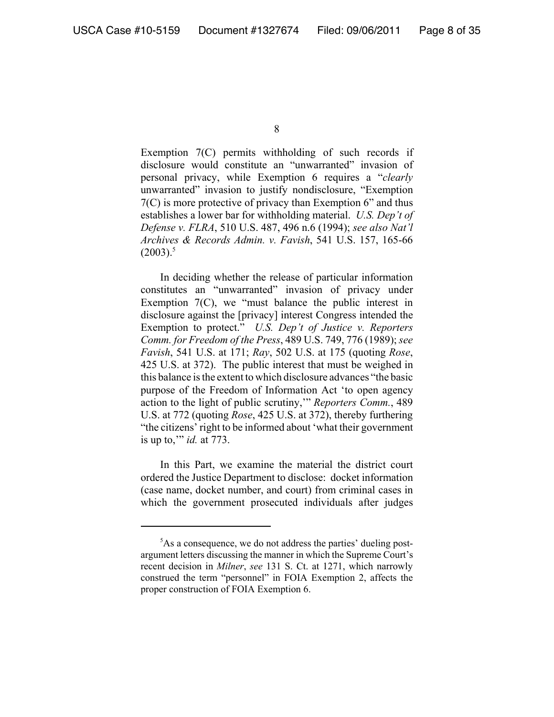Exemption 7(C) permits withholding of such records if disclosure would constitute an "unwarranted" invasion of personal privacy, while Exemption 6 requires a "*clearly* unwarranted" invasion to justify nondisclosure, "Exemption 7(C) is more protective of privacy than Exemption 6" and thus establishes a lower bar for withholding material. *U.S. Dep't of Defense v. FLRA*, 510 U.S. 487, 496 n.6 (1994); *see also Nat'l Archives & Records Admin. v. Favish*, 541 U.S. 157, 165-66  $(2003)^5$ 

In deciding whether the release of particular information constitutes an "unwarranted" invasion of privacy under Exemption  $7(C)$ , we "must balance the public interest in disclosure against the [privacy] interest Congress intended the Exemption to protect." *U.S. Dep't of Justice v. Reporters Comm. for Freedom of the Press*, 489 U.S. 749, 776 (1989); *see Favish*, 541 U.S. at 171; *Ray*, 502 U.S. at 175 (quoting *Rose*, 425 U.S. at 372). The public interest that must be weighed in this balance is the extent to which disclosure advances "the basic purpose of the Freedom of Information Act 'to open agency action to the light of public scrutiny,'" *Reporters Comm.*, 489 U.S. at 772 (quoting *Rose*, 425 U.S. at 372), thereby furthering "the citizens' right to be informed about 'what their government is up to,'" *id.* at 773.

In this Part, we examine the material the district court ordered the Justice Department to disclose: docket information (case name, docket number, and court) from criminal cases in which the government prosecuted individuals after judges

<sup>&</sup>lt;sup>5</sup>As a consequence, we do not address the parties' dueling postargument letters discussing the manner in which the Supreme Court's recent decision in *Milner*, *see* 131 S. Ct. at 1271, which narrowly construed the term "personnel" in FOIA Exemption 2, affects the proper construction of FOIA Exemption 6.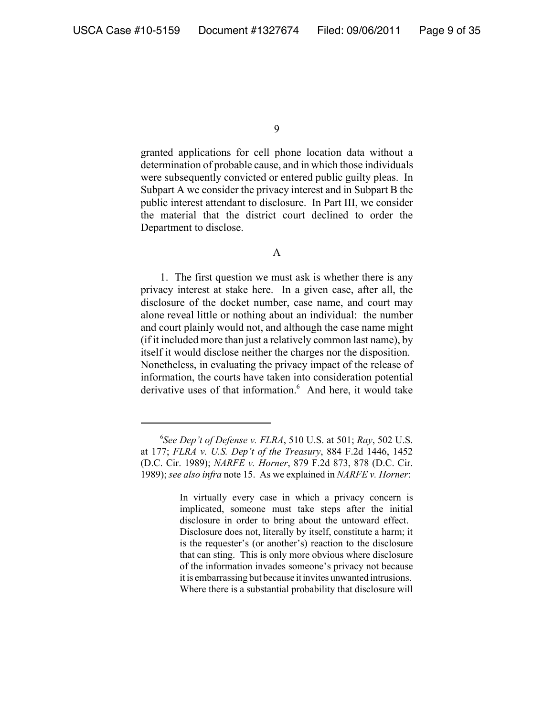granted applications for cell phone location data without a determination of probable cause, and in which those individuals were subsequently convicted or entered public guilty pleas. In Subpart A we consider the privacy interest and in Subpart B the public interest attendant to disclosure. In Part III, we consider the material that the district court declined to order the Department to disclose.

#### A

1. The first question we must ask is whether there is any privacy interest at stake here. In a given case, after all, the disclosure of the docket number, case name, and court may alone reveal little or nothing about an individual: the number and court plainly would not, and although the case name might (if it included more than just a relatively common last name), by itself it would disclose neither the charges nor the disposition. Nonetheless, in evaluating the privacy impact of the release of information, the courts have taken into consideration potential derivative uses of that information.<sup>6</sup> And here, it would take

<sup>6</sup> *See Dep't of Defense v. FLRA*, 510 U.S. at 501; *Ray*, 502 U.S. at 177; *FLRA v. U.S. Dep't of the Treasury*, 884 F.2d 1446, 1452 (D.C. Cir. 1989); *NARFE v. Horner*, 879 F.2d 873, 878 (D.C. Cir. 1989); *see also infra* note 15. As we explained in *NARFE v. Horner*:

In virtually every case in which a privacy concern is implicated, someone must take steps after the initial disclosure in order to bring about the untoward effect. Disclosure does not, literally by itself, constitute a harm; it is the requester's (or another's) reaction to the disclosure that can sting. This is only more obvious where disclosure of the information invades someone's privacy not because it is embarrassing but because it invites unwanted intrusions. Where there is a substantial probability that disclosure will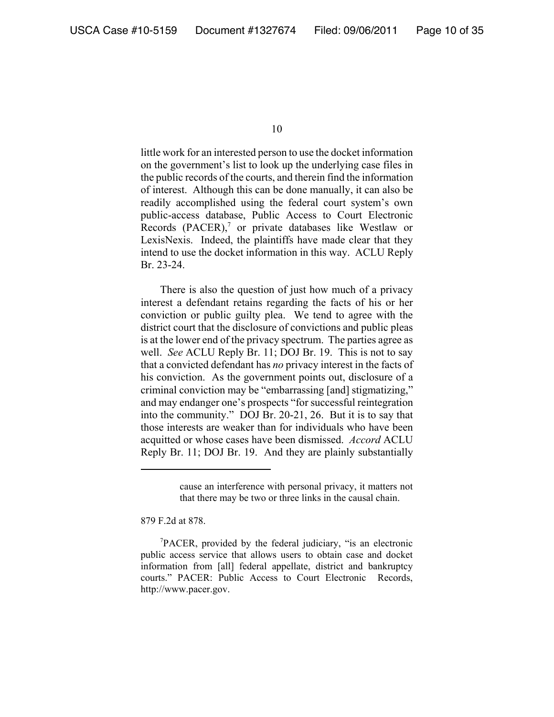little work for an interested person to use the docket information on the government's list to look up the underlying case files in the public records of the courts, and therein find the information of interest. Although this can be done manually, it can also be readily accomplished using the federal court system's own public-access database, Public Access to Court Electronic Records (PACER),<sup>7</sup> or private databases like Westlaw or LexisNexis. Indeed, the plaintiffs have made clear that they intend to use the docket information in this way. ACLU Reply Br. 23-24.

There is also the question of just how much of a privacy interest a defendant retains regarding the facts of his or her conviction or public guilty plea. We tend to agree with the district court that the disclosure of convictions and public pleas is at the lower end of the privacy spectrum. The parties agree as well. *See* ACLU Reply Br. 11; DOJ Br. 19. This is not to say that a convicted defendant has *no* privacy interest in the facts of his conviction. As the government points out, disclosure of a criminal conviction may be "embarrassing [and] stigmatizing," and may endanger one's prospects "for successful reintegration into the community." DOJ Br. 20-21, 26. But it is to say that those interests are weaker than for individuals who have been acquitted or whose cases have been dismissed. *Accord* ACLU Reply Br. 11; DOJ Br. 19. And they are plainly substantially

879 F.2d at 878.

cause an interference with personal privacy, it matters not that there may be two or three links in the causal chain.

<sup>7</sup> PACER, provided by the federal judiciary, "is an electronic public access service that allows users to obtain case and docket information from [all] federal appellate, district and bankruptcy courts." PACER: Public Access to Court Electronic Records, http://www.pacer.gov.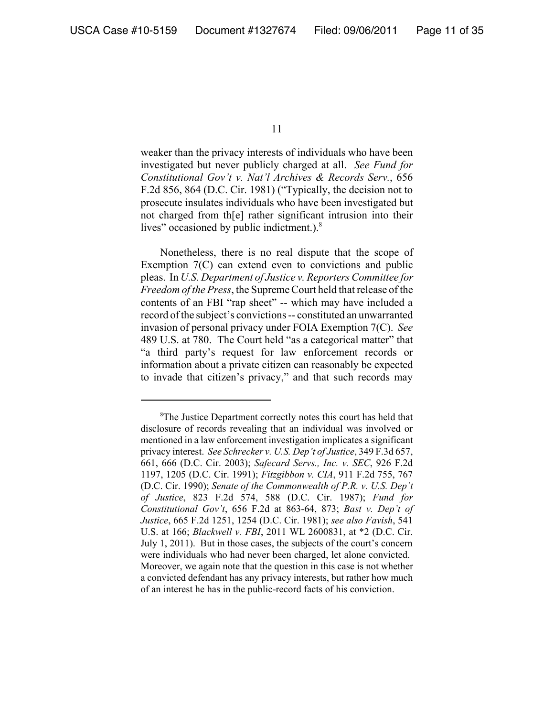weaker than the privacy interests of individuals who have been investigated but never publicly charged at all. *See Fund for Constitutional Gov't v. Nat'l Archives & Records Serv.*, 656 F.2d 856, 864 (D.C. Cir. 1981) ("Typically, the decision not to prosecute insulates individuals who have been investigated but not charged from th[e] rather significant intrusion into their lives" occasioned by public indictment.).8

Nonetheless, there is no real dispute that the scope of Exemption 7(C) can extend even to convictions and public pleas. In *U.S. Department of Justice v. Reporters Committee for Freedom of the Press*, the Supreme Court held that release of the contents of an FBI "rap sheet" -- which may have included a record of the subject's convictions -- constituted an unwarranted invasion of personal privacy under FOIA Exemption 7(C). *See* 489 U.S. at 780. The Court held "as a categorical matter" that "a third party's request for law enforcement records or information about a private citizen can reasonably be expected to invade that citizen's privacy," and that such records may

<sup>&</sup>lt;sup>8</sup>The Justice Department correctly notes this court has held that disclosure of records revealing that an individual was involved or mentioned in a law enforcement investigation implicates a significant privacy interest. *See Schrecker v. U.S. Dep't of Justice*, 349 F.3d 657, 661, 666 (D.C. Cir. 2003); *Safecard Servs., Inc. v. SEC*, 926 F.2d 1197, 1205 (D.C. Cir. 1991); *Fitzgibbon v. CIA*, 911 F.2d 755, 767 (D.C. Cir. 1990); *Senate of the Commonwealth of P.R. v. U.S. Dep't of Justice*, 823 F.2d 574, 588 (D.C. Cir. 1987); *Fund for Constitutional Gov't*, 656 F.2d at 863-64, 873; *Bast v. Dep't of Justice*, 665 F.2d 1251, 1254 (D.C. Cir. 1981); *see also Favish*, 541 U.S. at 166; *Blackwell v. FBI*, 2011 WL 2600831, at \*2 (D.C. Cir. July 1, 2011). But in those cases, the subjects of the court's concern were individuals who had never been charged, let alone convicted. Moreover, we again note that the question in this case is not whether a convicted defendant has any privacy interests, but rather how much of an interest he has in the public-record facts of his conviction.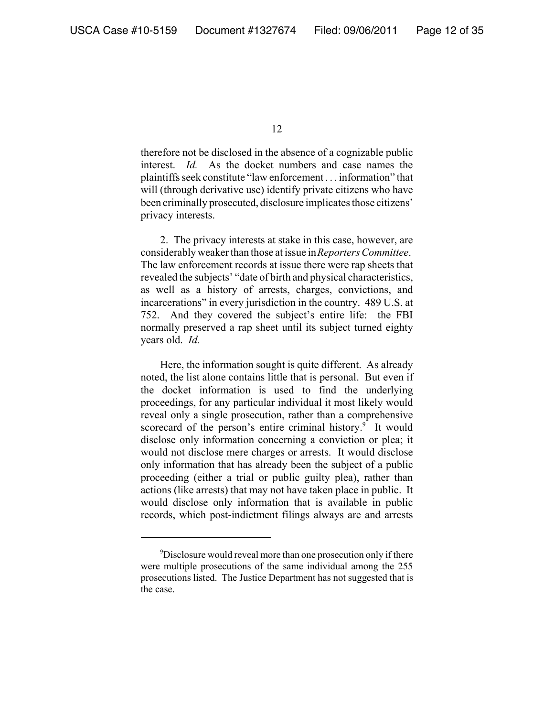therefore not be disclosed in the absence of a cognizable public interest. *Id.* As the docket numbers and case names the plaintiffs seek constitute "law enforcement . . . information" that will (through derivative use) identify private citizens who have been criminally prosecuted, disclosure implicates those citizens' privacy interests.

2. The privacy interests at stake in this case, however, are considerably weaker than those at issue in *Reporters Committee*. The law enforcement records at issue there were rap sheets that revealed the subjects' "date of birth and physical characteristics, as well as a history of arrests, charges, convictions, and incarcerations" in every jurisdiction in the country. 489 U.S. at 752. And they covered the subject's entire life: the FBI normally preserved a rap sheet until its subject turned eighty years old. *Id.*

Here, the information sought is quite different. As already noted, the list alone contains little that is personal. But even if the docket information is used to find the underlying proceedings, for any particular individual it most likely would reveal only a single prosecution, rather than a comprehensive scorecard of the person's entire criminal history.<sup>9</sup> It would disclose only information concerning a conviction or plea; it would not disclose mere charges or arrests. It would disclose only information that has already been the subject of a public proceeding (either a trial or public guilty plea), rather than actions (like arrests) that may not have taken place in public. It would disclose only information that is available in public records, which post-indictment filings always are and arrests

<sup>9</sup> Disclosure would reveal more than one prosecution only if there were multiple prosecutions of the same individual among the 255 prosecutions listed. The Justice Department has not suggested that is the case.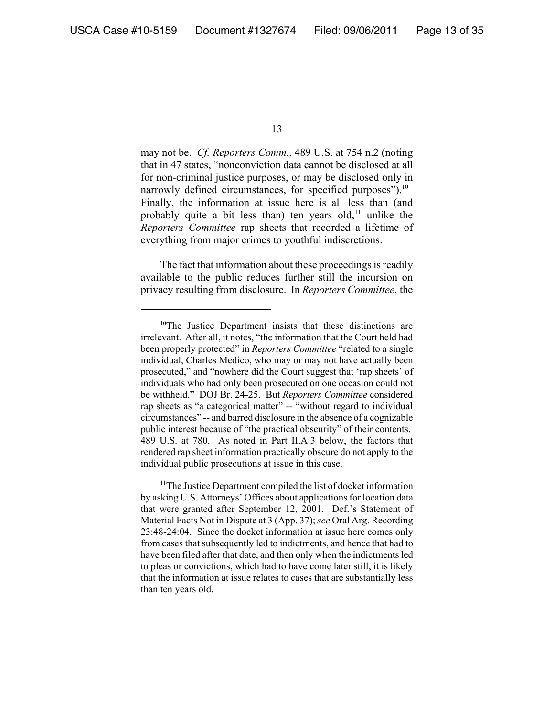may not be. *Cf. Reporters Comm.*, 489 U.S. at 754 n.2 (noting that in 47 states, "nonconviction data cannot be disclosed at all for non-criminal justice purposes, or may be disclosed only in narrowly defined circumstances, for specified purposes").<sup>10</sup> Finally, the information at issue here is all less than (and probably quite a bit less than) ten years old,<sup>11</sup> unlike the *Reporters Committee* rap sheets that recorded a lifetime of everything from major crimes to youthful indiscretions.

The fact that information about these proceedings is readily available to the public reduces further still the incursion on privacy resulting from disclosure. In *Reporters Committee*, the

<sup>&</sup>lt;sup>10</sup>The Justice Department insists that these distinctions are irrelevant. After all, it notes, "the information that the Court held had been properly protected" in *Reporters Committee* "related to a single individual, Charles Medico, who may or may not have actually been prosecuted," and "nowhere did the Court suggest that 'rap sheets' of individuals who had only been prosecuted on one occasion could not be withheld." DOJ Br. 24-25. But *Reporters Committee* considered rap sheets as "a categorical matter" -- "without regard to individual circumstances" -- and barred disclosure in the absence of a cognizable public interest because of "the practical obscurity" of their contents. 489 U.S. at 780. As noted in Part II.A.3 below, the factors that rendered rap sheet information practically obscure do not apply to the individual public prosecutions at issue in this case.

<sup>&</sup>lt;sup>11</sup>The Justice Department compiled the list of docket information by asking U.S. Attorneys' Offices about applications for location data that were granted after September 12, 2001. Def.'s Statement of Material Facts Not in Dispute at 3 (App. 37); *see* Oral Arg. Recording 23:48-24:04. Since the docket information at issue here comes only from cases that subsequently led to indictments, and hence that had to have been filed after that date, and then only when the indictments led to pleas or convictions, which had to have come later still, it is likely that the information at issue relates to cases that are substantially less than ten years old.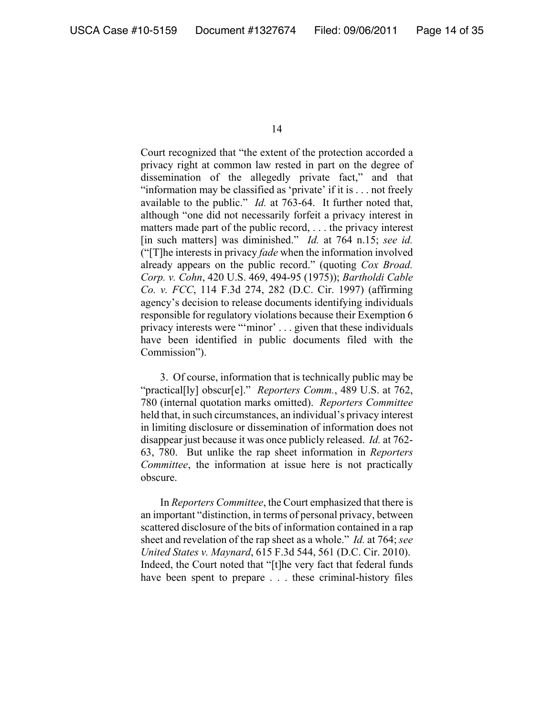Court recognized that "the extent of the protection accorded a privacy right at common law rested in part on the degree of dissemination of the allegedly private fact," and that "information may be classified as 'private' if it is . . . not freely available to the public." *Id.* at 763-64. It further noted that, although "one did not necessarily forfeit a privacy interest in matters made part of the public record, . . . the privacy interest [in such matters] was diminished." *Id.* at 764 n.15; *see id.* ("[T]he interests in privacy *fade* when the information involved already appears on the public record." (quoting *Cox Broad. Corp. v. Cohn*, 420 U.S. 469, 494-95 (1975)); *Bartholdi Cable Co. v. FCC*, 114 F.3d 274, 282 (D.C. Cir. 1997) (affirming agency's decision to release documents identifying individuals responsible for regulatory violations because their Exemption 6 privacy interests were "'minor' . . . given that these individuals have been identified in public documents filed with the Commission").

3. Of course, information that is technically public may be "practical[ly] obscur[e]." *Reporters Comm.*, 489 U.S. at 762, 780 (internal quotation marks omitted). *Reporters Committee* held that, in such circumstances, an individual's privacy interest in limiting disclosure or dissemination of information does not disappear just because it was once publicly released. *Id.* at 762- 63, 780. But unlike the rap sheet information in *Reporters Committee*, the information at issue here is not practically obscure.

In *Reporters Committee*, the Court emphasized that there is an important "distinction, in terms of personal privacy, between scattered disclosure of the bits of information contained in a rap sheet and revelation of the rap sheet as a whole." *Id.* at 764; *see United States v. Maynard*, 615 F.3d 544, 561 (D.C. Cir. 2010). Indeed, the Court noted that "[t]he very fact that federal funds have been spent to prepare . . . these criminal-history files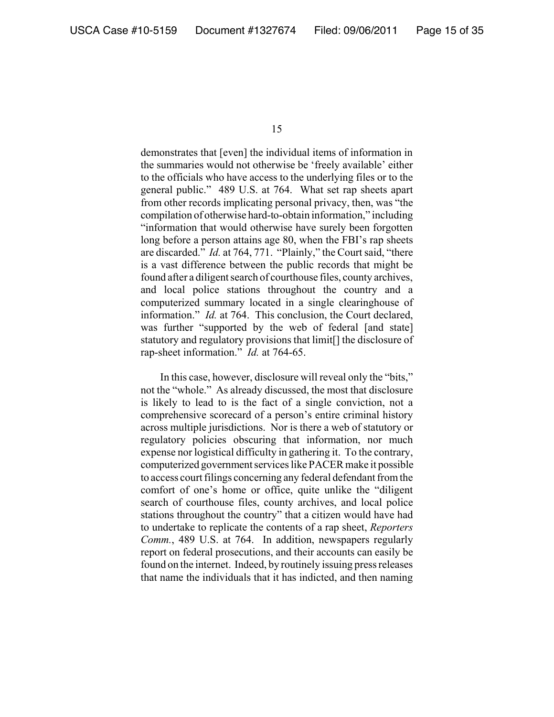demonstrates that [even] the individual items of information in the summaries would not otherwise be 'freely available' either to the officials who have access to the underlying files or to the general public." 489 U.S. at 764. What set rap sheets apart from other records implicating personal privacy, then, was "the compilation of otherwise hard-to-obtain information," including "information that would otherwise have surely been forgotten long before a person attains age 80, when the FBI's rap sheets are discarded." *Id.* at 764, 771. "Plainly," the Court said, "there is a vast difference between the public records that might be found after a diligent search of courthouse files, county archives, and local police stations throughout the country and a computerized summary located in a single clearinghouse of information." *Id.* at 764. This conclusion, the Court declared, was further "supported by the web of federal [and state] statutory and regulatory provisions that limit[] the disclosure of rap-sheet information." *Id.* at 764-65.

In this case, however, disclosure will reveal only the "bits," not the "whole." As already discussed, the most that disclosure is likely to lead to is the fact of a single conviction, not a comprehensive scorecard of a person's entire criminal history across multiple jurisdictions. Nor is there a web of statutory or regulatory policies obscuring that information, nor much expense nor logistical difficulty in gathering it. To the contrary, computerized government services like PACER make it possible to access court filings concerning any federal defendant from the comfort of one's home or office, quite unlike the "diligent search of courthouse files, county archives, and local police stations throughout the country" that a citizen would have had to undertake to replicate the contents of a rap sheet, *Reporters Comm.*, 489 U.S. at 764. In addition, newspapers regularly report on federal prosecutions, and their accounts can easily be found on the internet. Indeed, by routinely issuing press releases that name the individuals that it has indicted, and then naming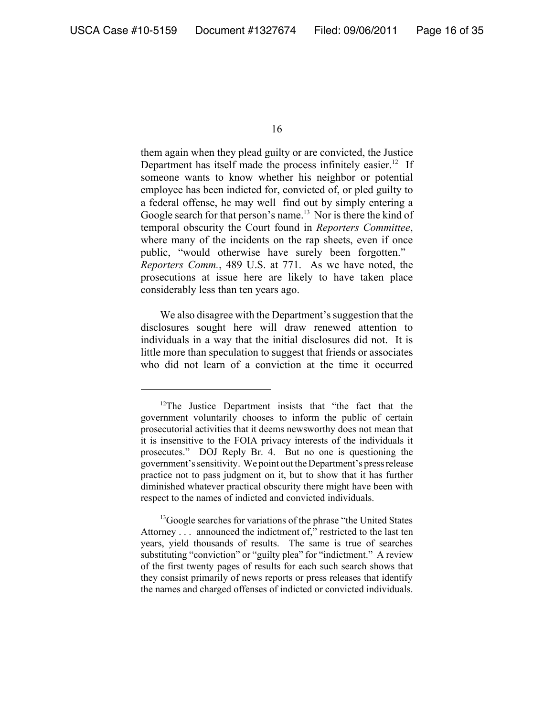them again when they plead guilty or are convicted, the Justice Department has itself made the process infinitely easier.<sup>12</sup> If someone wants to know whether his neighbor or potential employee has been indicted for, convicted of, or pled guilty to a federal offense, he may well find out by simply entering a Google search for that person's name.<sup>13</sup> Nor is there the kind of temporal obscurity the Court found in *Reporters Committee*, where many of the incidents on the rap sheets, even if once public, "would otherwise have surely been forgotten." *Reporters Comm.*, 489 U.S. at 771. As we have noted, the prosecutions at issue here are likely to have taken place considerably less than ten years ago.

We also disagree with the Department's suggestion that the disclosures sought here will draw renewed attention to individuals in a way that the initial disclosures did not. It is little more than speculation to suggest that friends or associates who did not learn of a conviction at the time it occurred

<sup>16</sup>

<sup>&</sup>lt;sup>12</sup>The Justice Department insists that "the fact that the government voluntarily chooses to inform the public of certain prosecutorial activities that it deems newsworthy does not mean that it is insensitive to the FOIA privacy interests of the individuals it prosecutes." DOJ Reply Br. 4. But no one is questioning the government's sensitivity. We point out the Department's press release practice not to pass judgment on it, but to show that it has further diminished whatever practical obscurity there might have been with respect to the names of indicted and convicted individuals.

<sup>&</sup>lt;sup>13</sup>Google searches for variations of the phrase "the United States" Attorney . . . announced the indictment of," restricted to the last ten years, yield thousands of results. The same is true of searches substituting "conviction" or "guilty plea" for "indictment." A review of the first twenty pages of results for each such search shows that they consist primarily of news reports or press releases that identify the names and charged offenses of indicted or convicted individuals.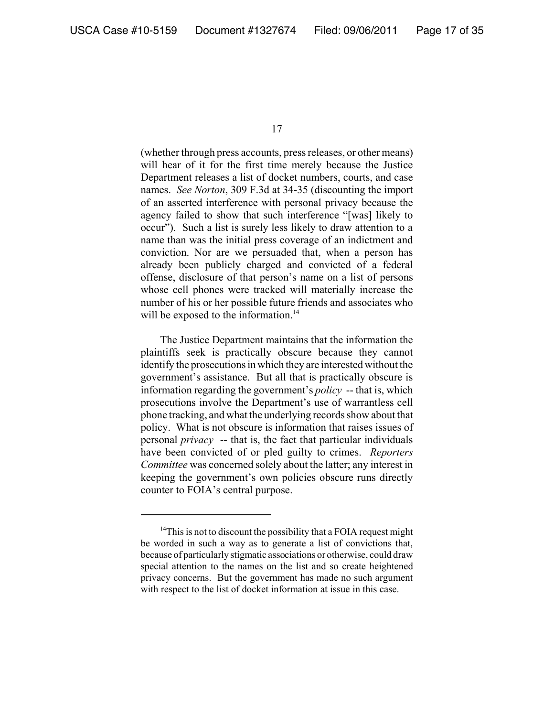(whether through press accounts, press releases, or other means) will hear of it for the first time merely because the Justice Department releases a list of docket numbers, courts, and case names. *See Norton*, 309 F.3d at 34-35 (discounting the import of an asserted interference with personal privacy because the agency failed to show that such interference "[was] likely to occur"). Such a list is surely less likely to draw attention to a name than was the initial press coverage of an indictment and conviction. Nor are we persuaded that, when a person has already been publicly charged and convicted of a federal offense, disclosure of that person's name on a list of persons whose cell phones were tracked will materially increase the number of his or her possible future friends and associates who will be exposed to the information.<sup>14</sup>

The Justice Department maintains that the information the plaintiffs seek is practically obscure because they cannot identify the prosecutions in which they are interested without the government's assistance. But all that is practically obscure is information regarding the government's *policy* -- that is, which prosecutions involve the Department's use of warrantless cell phone tracking, and what the underlying records show about that policy. What is not obscure is information that raises issues of personal *privacy* -- that is, the fact that particular individuals have been convicted of or pled guilty to crimes. *Reporters Committee* was concerned solely about the latter; any interest in keeping the government's own policies obscure runs directly counter to FOIA's central purpose.

 $14$ This is not to discount the possibility that a FOIA request might be worded in such a way as to generate a list of convictions that, because of particularly stigmatic associations or otherwise, could draw special attention to the names on the list and so create heightened privacy concerns. But the government has made no such argument with respect to the list of docket information at issue in this case.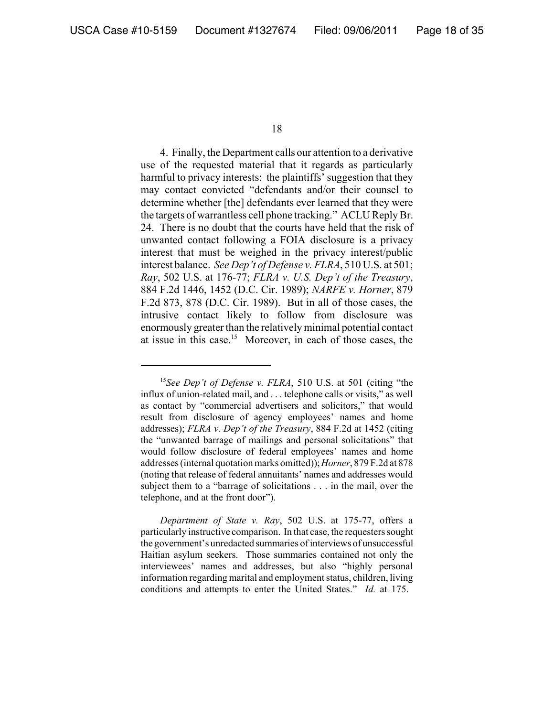4. Finally, the Department calls our attention to a derivative use of the requested material that it regards as particularly harmful to privacy interests: the plaintiffs' suggestion that they may contact convicted "defendants and/or their counsel to determine whether [the] defendants ever learned that they were the targets of warrantless cell phone tracking." ACLU Reply Br. 24. There is no doubt that the courts have held that the risk of unwanted contact following a FOIA disclosure is a privacy interest that must be weighed in the privacy interest/public interest balance. *See Dep't of Defense v. FLRA*, 510 U.S. at 501; *Ray*, 502 U.S. at 176-77; *FLRA v. U.S. Dep't of the Treasury*, 884 F.2d 1446, 1452 (D.C. Cir. 1989); *NARFE v. Horner*, 879 F.2d 873, 878 (D.C. Cir. 1989). But in all of those cases, the intrusive contact likely to follow from disclosure was enormously greater than the relatively minimal potential contact at issue in this case.15 Moreover, in each of those cases, the

<sup>15</sup>*See Dep't of Defense v. FLRA*, 510 U.S. at 501 (citing "the influx of union-related mail, and . . . telephone calls or visits," as well as contact by "commercial advertisers and solicitors," that would result from disclosure of agency employees' names and home addresses); *FLRA v. Dep't of the Treasury*, 884 F.2d at 1452 (citing the "unwanted barrage of mailings and personal solicitations" that would follow disclosure of federal employees' names and home addresses (internal quotation marks omitted)); *Horner*, 879 F.2d at 878 (noting that release of federal annuitants' names and addresses would subject them to a "barrage of solicitations . . . in the mail, over the telephone, and at the front door").

*Department of State v. Ray*, 502 U.S. at 175-77, offers a particularly instructive comparison. In that case, the requesters sought the government's unredacted summaries of interviews of unsuccessful Haitian asylum seekers. Those summaries contained not only the interviewees' names and addresses, but also "highly personal information regarding marital and employment status, children, living conditions and attempts to enter the United States." *Id.* at 175.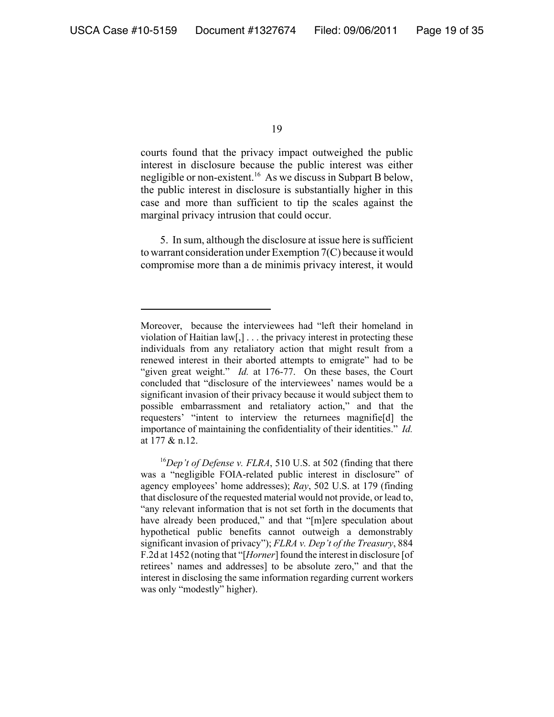courts found that the privacy impact outweighed the public interest in disclosure because the public interest was either negligible or non-existent.16 As we discuss in Subpart B below, the public interest in disclosure is substantially higher in this case and more than sufficient to tip the scales against the marginal privacy intrusion that could occur.

5. In sum, although the disclosure at issue here is sufficient to warrant consideration under Exemption 7(C) because it would compromise more than a de minimis privacy interest, it would

Moreover, because the interviewees had "left their homeland in violation of Haitian law[,] . . . the privacy interest in protecting these individuals from any retaliatory action that might result from a renewed interest in their aborted attempts to emigrate" had to be "given great weight." *Id.* at 176-77. On these bases, the Court concluded that "disclosure of the interviewees' names would be a significant invasion of their privacy because it would subject them to possible embarrassment and retaliatory action," and that the requesters' "intent to interview the returnees magnifie[d] the importance of maintaining the confidentiality of their identities." *Id.* at 177 & n.12.

<sup>16</sup>*Dep't of Defense v. FLRA*, 510 U.S. at 502 (finding that there was a "negligible FOIA-related public interest in disclosure" of agency employees' home addresses); *Ray*, 502 U.S. at 179 (finding that disclosure of the requested material would not provide, or lead to, "any relevant information that is not set forth in the documents that have already been produced," and that "[m]ere speculation about hypothetical public benefits cannot outweigh a demonstrably significant invasion of privacy"); *FLRA v. Dep't of the Treasury*, 884 F.2d at 1452 (noting that "[*Horner*] found the interest in disclosure [of retirees' names and addresses] to be absolute zero," and that the interest in disclosing the same information regarding current workers was only "modestly" higher).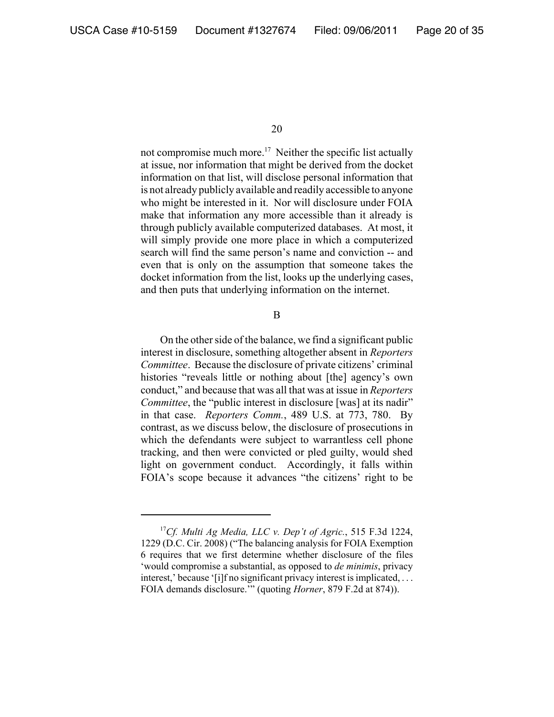not compromise much more.<sup>17</sup> Neither the specific list actually at issue, nor information that might be derived from the docket information on that list, will disclose personal information that is not already publicly available and readily accessible to anyone who might be interested in it. Nor will disclosure under FOIA make that information any more accessible than it already is through publicly available computerized databases. At most, it will simply provide one more place in which a computerized search will find the same person's name and conviction -- and even that is only on the assumption that someone takes the docket information from the list, looks up the underlying cases, and then puts that underlying information on the internet.

B

On the other side of the balance, we find a significant public interest in disclosure, something altogether absent in *Reporters Committee*. Because the disclosure of private citizens' criminal histories "reveals little or nothing about [the] agency's own conduct," and because that was all that was at issue in *Reporters Committee*, the "public interest in disclosure [was] at its nadir" in that case. *Reporters Comm.*, 489 U.S. at 773, 780. By contrast, as we discuss below, the disclosure of prosecutions in which the defendants were subject to warrantless cell phone tracking, and then were convicted or pled guilty, would shed light on government conduct. Accordingly, it falls within FOIA's scope because it advances "the citizens' right to be

<sup>17</sup>*Cf. Multi Ag Media, LLC v. Dep't of Agric.*, 515 F.3d 1224, 1229 (D.C. Cir. 2008) ("The balancing analysis for FOIA Exemption 6 requires that we first determine whether disclosure of the files 'would compromise a substantial, as opposed to *de minimis*, privacy interest,' because '[i]f no significant privacy interest is implicated, ... FOIA demands disclosure.'" (quoting *Horner*, 879 F.2d at 874)).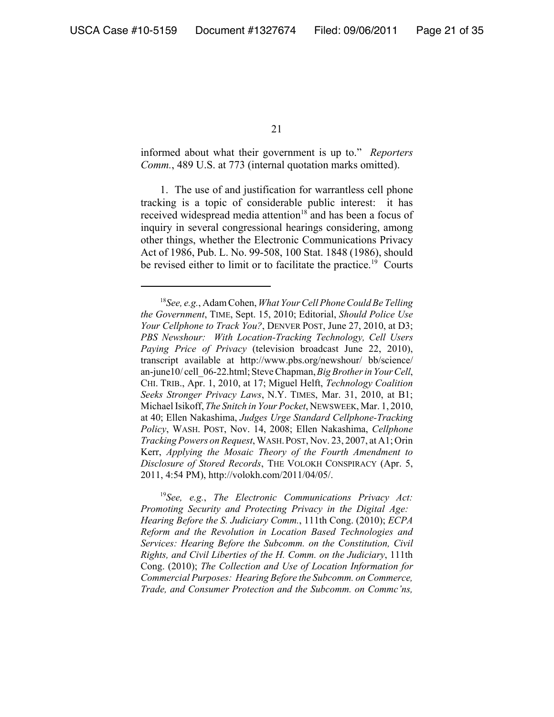informed about what their government is up to." *Reporters Comm.*, 489 U.S. at 773 (internal quotation marks omitted).

1. The use of and justification for warrantless cell phone tracking is a topic of considerable public interest: it has received widespread media attention<sup>18</sup> and has been a focus of inquiry in several congressional hearings considering, among other things, whether the Electronic Communications Privacy Act of 1986, Pub. L. No. 99-508, 100 Stat. 1848 (1986), should be revised either to limit or to facilitate the practice.<sup>19</sup> Courts

<sup>19</sup>*See, e.g.*, *The Electronic Communications Privacy Act: Promoting Security and Protecting Privacy in the Digital Age: Hearing Before the S. Judiciary Comm.*, 111th Cong. (2010); *ECPA Reform and the Revolution in Location Based Technologies and Services: Hearing Before the Subcomm. on the Constitution, Civil Rights, and Civil Liberties of the H. Comm. on the Judiciary*, 111th Cong. (2010); *The Collection and Use of Location Information for Commercial Purposes: Hearing Before the Subcomm. on Commerce, Trade, and Consumer Protection and the Subcomm. on Commc'ns,*

<sup>18</sup>*See, e.g.*, Adam Cohen, *What Your Cell Phone Could Be Telling the Government*, TIME, Sept. 15, 2010; Editorial, *Should Police Use Your Cellphone to Track You?*, DENVER POST, June 27, 2010, at D3; *PBS Newshour: With Location-Tracking Technology, Cell Users Paying Price of Privacy* (television broadcast June 22, 2010), transcript available at http://www.pbs.org/newshour/ bb/science/ an-june10/ cell\_06-22.html; Steve Chapman, *Big Brother in Your Cell*, CHI. TRIB., Apr. 1, 2010, at 17; Miguel Helft, *Technology Coalition Seeks Stronger Privacy Laws*, N.Y. TIMES, Mar. 31, 2010, at B1; Michael Isikoff, *The Snitch in Your Pocket*, NEWSWEEK, Mar. 1, 2010, at 40; Ellen Nakashima, *Judges Urge Standard Cellphone-Tracking Policy*, WASH. POST, Nov. 14, 2008; Ellen Nakashima, *Cellphone Tracking Powers on Request*, WASH.POST, Nov. 23, 2007, at A1; Orin Kerr, *Applying the Mosaic Theory of the Fourth Amendment to Disclosure of Stored Records*, THE VOLOKH CONSPIRACY (Apr. 5, 2011, 4:54 PM), http://volokh.com/2011/04/05/.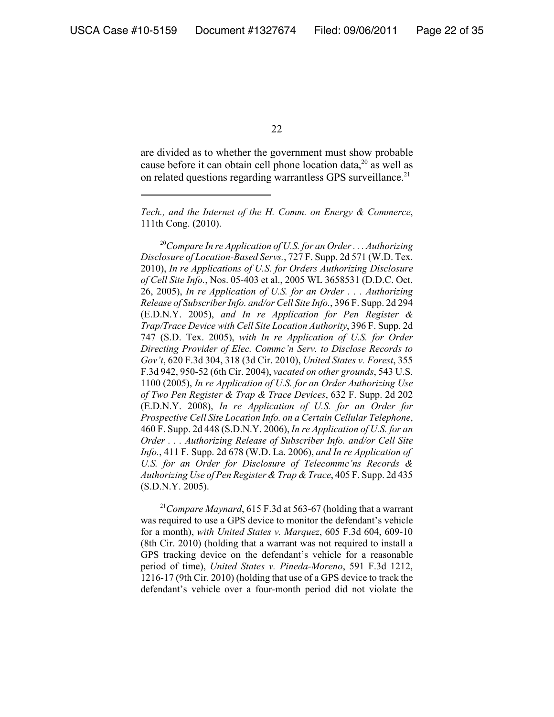are divided as to whether the government must show probable cause before it can obtain cell phone location data,<sup>20</sup> as well as on related questions regarding warrantless GPS surveillance.<sup>21</sup>

*Tech., and the Internet of the H. Comm. on Energy & Commerce*, 111th Cong. (2010).

<sup>20</sup>*Compare In re Application of U.S. for an Order . . . Authorizing Disclosure of Location-Based Servs.*, 727 F. Supp. 2d 571 (W.D. Tex. 2010), *In re Applications of U.S. for Orders Authorizing Disclosure of Cell Site Info.*, Nos. 05-403 et al., 2005 WL 3658531 (D.D.C. Oct. 26, 2005), *In re Application of U.S. for an Order . . . Authorizing Release of Subscriber Info. and/or Cell Site Info.*, 396 F. Supp. 2d 294 (E.D.N.Y. 2005), *and In re Application for Pen Register & Trap/Trace Device with Cell Site Location Authority*, 396 F. Supp. 2d 747 (S.D. Tex. 2005), *with In re Application of U.S. for Order Directing Provider of Elec. Commc'n Serv. to Disclose Records to Gov't*, 620 F.3d 304, 318 (3d Cir. 2010), *United States v. Forest*, 355 F.3d 942, 950-52 (6th Cir. 2004), *vacated on other grounds*, 543 U.S. 1100 (2005), *In re Application of U.S. for an Order Authorizing Use of Two Pen Register & Trap & Trace Devices*, 632 F. Supp. 2d 202 (E.D.N.Y. 2008), *In re Application of U.S. for an Order for Prospective Cell Site Location Info. on a Certain Cellular Telephone*, 460 F. Supp. 2d 448 (S.D.N.Y. 2006), *In re Application of U.S. for an Order . . . Authorizing Release of Subscriber Info. and/or Cell Site Info.*, 411 F. Supp. 2d 678 (W.D. La. 2006), *and In re Application of U.S. for an Order for Disclosure of Telecommc'ns Records & Authorizing Use of Pen Register & Trap & Trace*, 405 F. Supp. 2d 435 (S.D.N.Y. 2005).

<sup>21</sup>*Compare Maynard*, 615 F.3d at 563-67 (holding that a warrant was required to use a GPS device to monitor the defendant's vehicle for a month), *with United States v. Marquez*, 605 F.3d 604, 609-10 (8th Cir. 2010) (holding that a warrant was not required to install a GPS tracking device on the defendant's vehicle for a reasonable period of time), *United States v. Pineda-Moreno*, 591 F.3d 1212, 1216-17 (9th Cir. 2010) (holding that use of a GPS device to track the defendant's vehicle over a four-month period did not violate the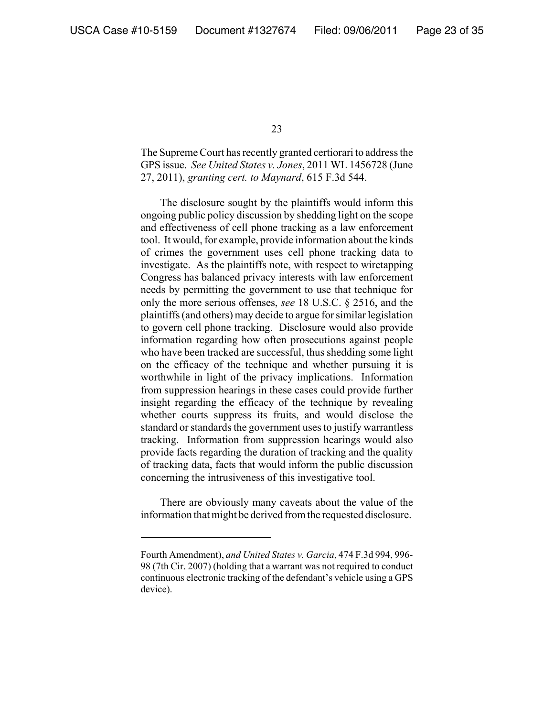The Supreme Court has recently granted certiorari to address the GPS issue. *See United States v. Jones*, 2011 WL 1456728 (June 27, 2011), *granting cert. to Maynard*, 615 F.3d 544.

The disclosure sought by the plaintiffs would inform this ongoing public policy discussion by shedding light on the scope and effectiveness of cell phone tracking as a law enforcement tool. It would, for example, provide information about the kinds of crimes the government uses cell phone tracking data to investigate. As the plaintiffs note, with respect to wiretapping Congress has balanced privacy interests with law enforcement needs by permitting the government to use that technique for only the more serious offenses, *see* 18 U.S.C. § 2516, and the plaintiffs (and others) may decide to argue for similar legislation to govern cell phone tracking. Disclosure would also provide information regarding how often prosecutions against people who have been tracked are successful, thus shedding some light on the efficacy of the technique and whether pursuing it is worthwhile in light of the privacy implications. Information from suppression hearings in these cases could provide further insight regarding the efficacy of the technique by revealing whether courts suppress its fruits, and would disclose the standard or standards the government uses to justify warrantless tracking. Information from suppression hearings would also provide facts regarding the duration of tracking and the quality of tracking data, facts that would inform the public discussion concerning the intrusiveness of this investigative tool.

There are obviously many caveats about the value of the information that might be derived from the requested disclosure.

Fourth Amendment), *and United States v. Garcia*, 474 F.3d 994, 996- 98 (7th Cir. 2007) (holding that a warrant was not required to conduct continuous electronic tracking of the defendant's vehicle using a GPS device).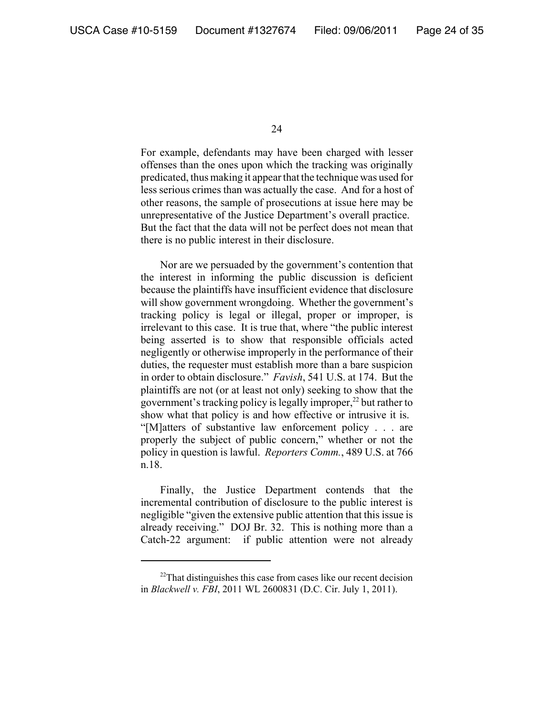For example, defendants may have been charged with lesser offenses than the ones upon which the tracking was originally predicated, thus making it appear that the technique was used for less serious crimes than was actually the case. And for a host of other reasons, the sample of prosecutions at issue here may be unrepresentative of the Justice Department's overall practice. But the fact that the data will not be perfect does not mean that there is no public interest in their disclosure.

Nor are we persuaded by the government's contention that the interest in informing the public discussion is deficient because the plaintiffs have insufficient evidence that disclosure will show government wrongdoing. Whether the government's tracking policy is legal or illegal, proper or improper, is irrelevant to this case. It is true that, where "the public interest being asserted is to show that responsible officials acted negligently or otherwise improperly in the performance of their duties, the requester must establish more than a bare suspicion in order to obtain disclosure." *Favish*, 541 U.S. at 174. But the plaintiffs are not (or at least not only) seeking to show that the government's tracking policy is legally improper, $^{22}$  but rather to show what that policy is and how effective or intrusive it is. "[M]atters of substantive law enforcement policy . . . are properly the subject of public concern," whether or not the policy in question is lawful. *Reporters Comm.*, 489 U.S. at 766 n.18.

Finally, the Justice Department contends that the incremental contribution of disclosure to the public interest is negligible "given the extensive public attention that this issue is already receiving." DOJ Br. 32. This is nothing more than a Catch-22 argument: if public attention were not already

<sup>&</sup>lt;sup>22</sup>That distinguishes this case from cases like our recent decision in *Blackwell v. FBI*, 2011 WL 2600831 (D.C. Cir. July 1, 2011).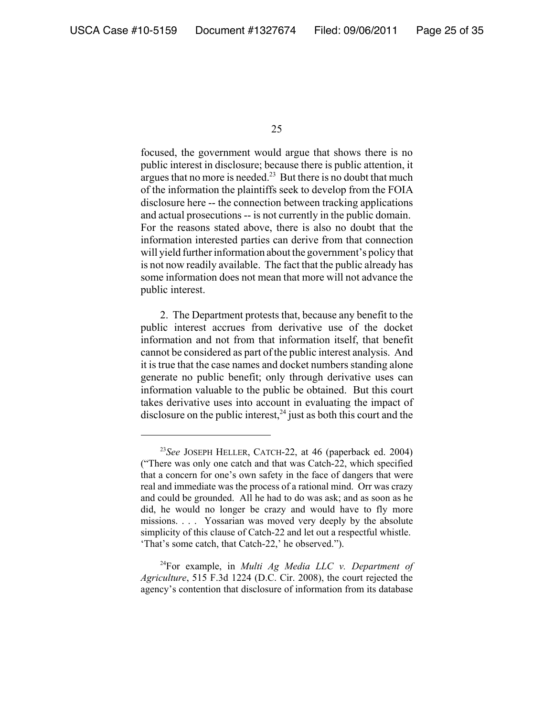focused, the government would argue that shows there is no public interest in disclosure; because there is public attention, it argues that no more is needed.<sup>23</sup> But there is no doubt that much of the information the plaintiffs seek to develop from the FOIA disclosure here -- the connection between tracking applications and actual prosecutions -- is not currently in the public domain. For the reasons stated above, there is also no doubt that the information interested parties can derive from that connection will yield further information about the government's policy that is not now readily available. The fact that the public already has some information does not mean that more will not advance the public interest.

2. The Department protests that, because any benefit to the public interest accrues from derivative use of the docket information and not from that information itself, that benefit cannot be considered as part of the public interest analysis. And it is true that the case names and docket numbers standing alone generate no public benefit; only through derivative uses can information valuable to the public be obtained. But this court takes derivative uses into account in evaluating the impact of disclosure on the public interest,  $24$  just as both this court and the

<sup>23</sup>*See* JOSEPH HELLER, CATCH-22, at 46 (paperback ed. 2004) ("There was only one catch and that was Catch-22, which specified that a concern for one's own safety in the face of dangers that were real and immediate was the process of a rational mind. Orr was crazy and could be grounded. All he had to do was ask; and as soon as he did, he would no longer be crazy and would have to fly more missions. . . . Yossarian was moved very deeply by the absolute simplicity of this clause of Catch-22 and let out a respectful whistle. 'That's some catch, that Catch-22,' he observed.").

<sup>24</sup>For example, in *Multi Ag Media LLC v. Department of Agriculture*, 515 F.3d 1224 (D.C. Cir. 2008), the court rejected the agency's contention that disclosure of information from its database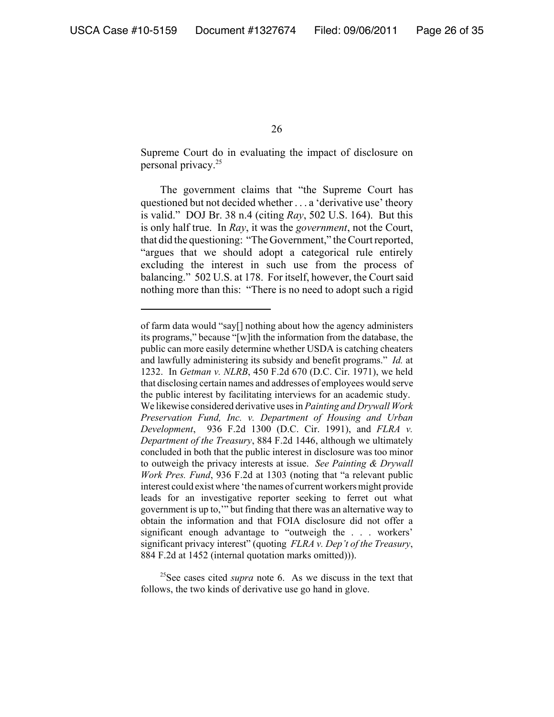Supreme Court do in evaluating the impact of disclosure on personal privacy.25

The government claims that "the Supreme Court has questioned but not decided whether . . . a 'derivative use' theory is valid." DOJ Br. 38 n.4 (citing *Ray*, 502 U.S. 164). But this is only half true. In *Ray*, it was the *government*, not the Court, that did the questioning: "The Government," the Court reported, "argues that we should adopt a categorical rule entirely excluding the interest in such use from the process of balancing." 502 U.S. at 178. For itself, however, the Court said nothing more than this: "There is no need to adopt such a rigid

25See cases cited *supra* note 6. As we discuss in the text that follows, the two kinds of derivative use go hand in glove.

of farm data would "say[] nothing about how the agency administers its programs," because "[w]ith the information from the database, the public can more easily determine whether USDA is catching cheaters and lawfully administering its subsidy and benefit programs." *Id.* at 1232. In *Getman v. NLRB*, 450 F.2d 670 (D.C. Cir. 1971), we held that disclosing certain names and addresses of employees would serve the public interest by facilitating interviews for an academic study. We likewise considered derivative uses in *Painting and Drywall Work Preservation Fund, Inc. v. Department of Housing and Urban Development*, 936 F.2d 1300 (D.C. Cir. 1991), and *FLRA v. Department of the Treasury*, 884 F.2d 1446, although we ultimately concluded in both that the public interest in disclosure was too minor to outweigh the privacy interests at issue. *See Painting & Drywall Work Pres. Fund*, 936 F.2d at 1303 (noting that "a relevant public interest could exist where 'the names of current workers might provide leads for an investigative reporter seeking to ferret out what government is up to,'" but finding that there was an alternative way to obtain the information and that FOIA disclosure did not offer a significant enough advantage to "outweigh the . . . workers' significant privacy interest" (quoting *FLRA v. Dep't of the Treasury*, 884 F.2d at 1452 (internal quotation marks omitted))).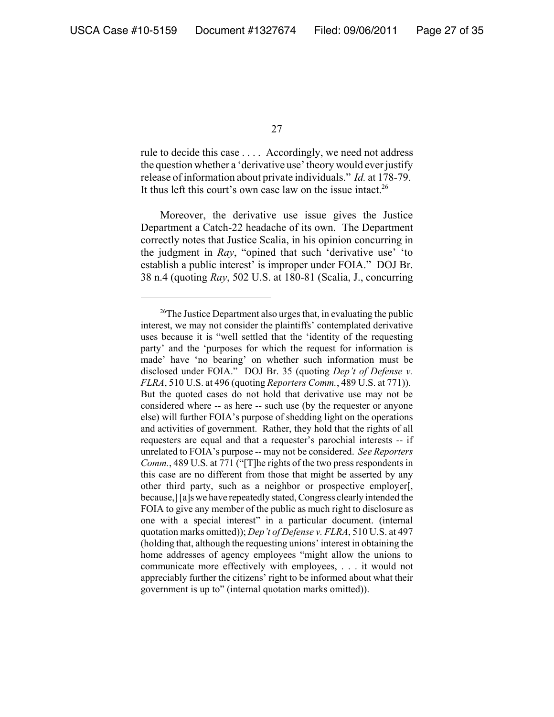rule to decide this case . . . . Accordingly, we need not address the question whether a 'derivative use' theory would ever justify release of information about private individuals." *Id.* at 178-79. It thus left this court's own case law on the issue intact.<sup>26</sup>

Moreover, the derivative use issue gives the Justice Department a Catch-22 headache of its own. The Department correctly notes that Justice Scalia, in his opinion concurring in the judgment in *Ray*, "opined that such 'derivative use' 'to establish a public interest' is improper under FOIA." DOJ Br. 38 n.4 (quoting *Ray*, 502 U.S. at 180-81 (Scalia, J., concurring

<sup>&</sup>lt;sup>26</sup>The Justice Department also urges that, in evaluating the public interest, we may not consider the plaintiffs' contemplated derivative uses because it is "well settled that the 'identity of the requesting party' and the 'purposes for which the request for information is made' have 'no bearing' on whether such information must be disclosed under FOIA." DOJ Br. 35 (quoting *Dep't of Defense v. FLRA*, 510 U.S. at 496 (quoting *Reporters Comm.*, 489 U.S. at 771)). But the quoted cases do not hold that derivative use may not be considered where -- as here -- such use (by the requester or anyone else) will further FOIA's purpose of shedding light on the operations and activities of government. Rather, they hold that the rights of all requesters are equal and that a requester's parochial interests -- if unrelated to FOIA's purpose -- may not be considered. *See Reporters Comm.*, 489 U.S. at 771 ("[T]he rights of the two press respondents in this case are no different from those that might be asserted by any other third party, such as a neighbor or prospective employer[, because,] [a]s we have repeatedly stated, Congress clearly intended the FOIA to give any member of the public as much right to disclosure as one with a special interest" in a particular document. (internal quotation marks omitted)); *Dep't of Defense v. FLRA*, 510 U.S. at 497 (holding that, although the requesting unions' interest in obtaining the home addresses of agency employees "might allow the unions to communicate more effectively with employees, . . . it would not appreciably further the citizens' right to be informed about what their government is up to" (internal quotation marks omitted)).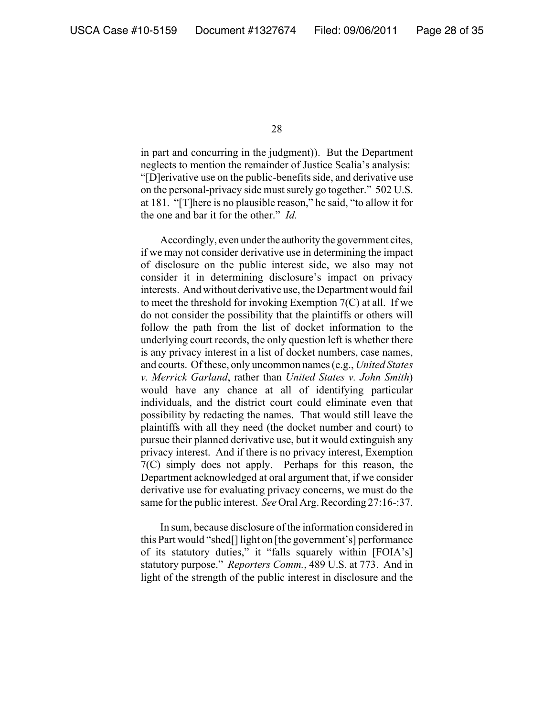in part and concurring in the judgment)). But the Department neglects to mention the remainder of Justice Scalia's analysis: "[D]erivative use on the public-benefits side, and derivative use on the personal-privacy side must surely go together." 502 U.S. at 181. "[T]here is no plausible reason," he said, "to allow it for the one and bar it for the other." *Id.*

Accordingly, even under the authority the government cites, if we may not consider derivative use in determining the impact of disclosure on the public interest side, we also may not consider it in determining disclosure's impact on privacy interests. And without derivative use, the Department would fail to meet the threshold for invoking Exemption 7(C) at all. If we do not consider the possibility that the plaintiffs or others will follow the path from the list of docket information to the underlying court records, the only question left is whether there is any privacy interest in a list of docket numbers, case names, and courts. Of these, only uncommon names (e.g., *United States v. Merrick Garland*, rather than *United States v. John Smith*) would have any chance at all of identifying particular individuals, and the district court could eliminate even that possibility by redacting the names. That would still leave the plaintiffs with all they need (the docket number and court) to pursue their planned derivative use, but it would extinguish any privacy interest. And if there is no privacy interest, Exemption 7(C) simply does not apply. Perhaps for this reason, the Department acknowledged at oral argument that, if we consider derivative use for evaluating privacy concerns, we must do the same for the public interest. *See* Oral Arg. Recording 27:16-:37.

In sum, because disclosure of the information considered in this Part would "shed[] light on [the government's] performance of its statutory duties," it "falls squarely within [FOIA's] statutory purpose." *Reporters Comm.*, 489 U.S. at 773. And in light of the strength of the public interest in disclosure and the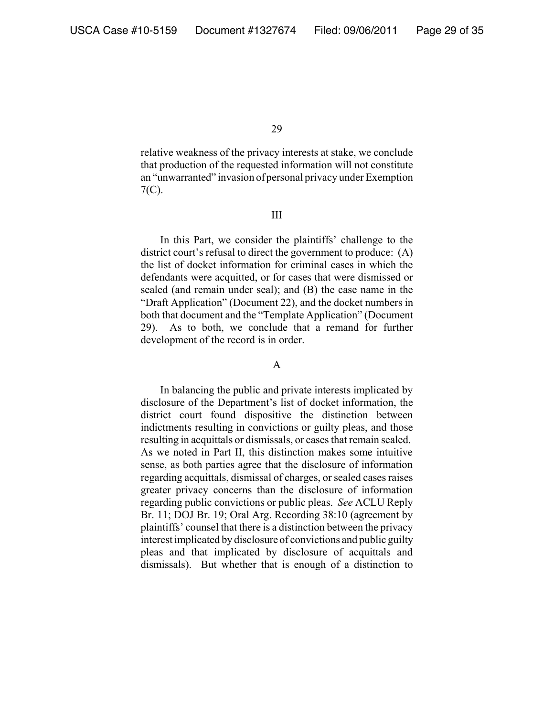relative weakness of the privacy interests at stake, we conclude that production of the requested information will not constitute an "unwarranted" invasion of personal privacy under Exemption 7(C).

#### III

In this Part, we consider the plaintiffs' challenge to the district court's refusal to direct the government to produce: (A) the list of docket information for criminal cases in which the defendants were acquitted, or for cases that were dismissed or sealed (and remain under seal); and (B) the case name in the "Draft Application" (Document 22), and the docket numbers in both that document and the "Template Application" (Document 29). As to both, we conclude that a remand for further development of the record is in order.

#### A

In balancing the public and private interests implicated by disclosure of the Department's list of docket information, the district court found dispositive the distinction between indictments resulting in convictions or guilty pleas, and those resulting in acquittals or dismissals, or cases that remain sealed. As we noted in Part II, this distinction makes some intuitive sense, as both parties agree that the disclosure of information regarding acquittals, dismissal of charges, or sealed cases raises greater privacy concerns than the disclosure of information regarding public convictions or public pleas. *See* ACLU Reply Br. 11; DOJ Br. 19; Oral Arg. Recording 38:10 (agreement by plaintiffs' counsel that there is a distinction between the privacy interest implicated by disclosure of convictions and public guilty pleas and that implicated by disclosure of acquittals and dismissals). But whether that is enough of a distinction to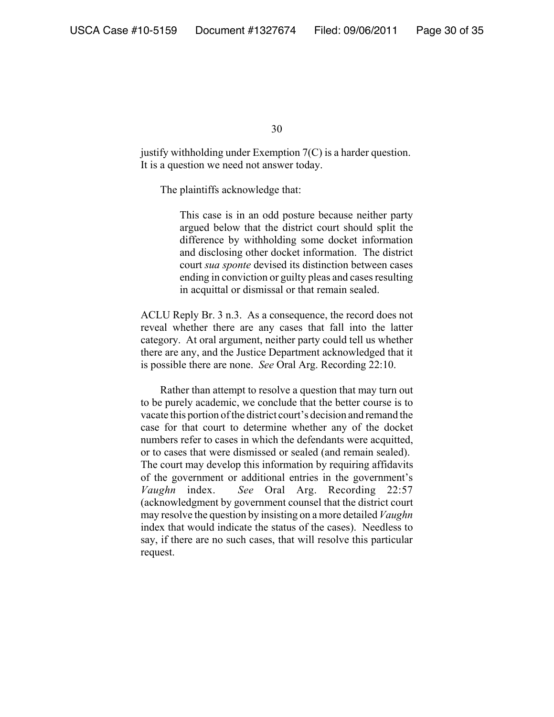justify withholding under Exemption 7(C) is a harder question. It is a question we need not answer today.

The plaintiffs acknowledge that:

This case is in an odd posture because neither party argued below that the district court should split the difference by withholding some docket information and disclosing other docket information. The district court *sua sponte* devised its distinction between cases ending in conviction or guilty pleas and cases resulting in acquittal or dismissal or that remain sealed.

ACLU Reply Br. 3 n.3. As a consequence, the record does not reveal whether there are any cases that fall into the latter category. At oral argument, neither party could tell us whether there are any, and the Justice Department acknowledged that it is possible there are none. *See* Oral Arg. Recording 22:10.

Rather than attempt to resolve a question that may turn out to be purely academic, we conclude that the better course is to vacate this portion of the district court's decision and remand the case for that court to determine whether any of the docket numbers refer to cases in which the defendants were acquitted, or to cases that were dismissed or sealed (and remain sealed). The court may develop this information by requiring affidavits of the government or additional entries in the government's *Vaughn* index. *See* Oral Arg. Recording 22:57 (acknowledgment by government counsel that the district court may resolve the question by insisting on a more detailed *Vaughn* index that would indicate the status of the cases). Needless to say, if there are no such cases, that will resolve this particular request.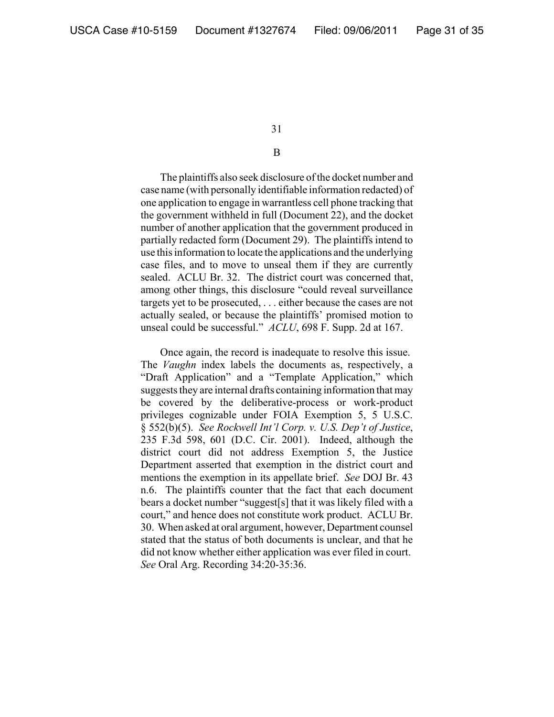## B

The plaintiffs also seek disclosure of the docket number and case name (with personally identifiable information redacted) of one application to engage in warrantless cell phone tracking that the government withheld in full (Document 22), and the docket number of another application that the government produced in partially redacted form (Document 29). The plaintiffs intend to use this information to locate the applications and the underlying case files, and to move to unseal them if they are currently sealed. ACLU Br. 32. The district court was concerned that, among other things, this disclosure "could reveal surveillance targets yet to be prosecuted, . . . either because the cases are not actually sealed, or because the plaintiffs' promised motion to unseal could be successful." *ACLU*, 698 F. Supp. 2d at 167.

Once again, the record is inadequate to resolve this issue. The *Vaughn* index labels the documents as, respectively, a "Draft Application" and a "Template Application," which suggests they are internal drafts containing information that may be covered by the deliberative-process or work-product privileges cognizable under FOIA Exemption 5, 5 U.S.C. § 552(b)(5). *See Rockwell Int'l Corp. v. U.S. Dep't of Justice*, 235 F.3d 598, 601 (D.C. Cir. 2001). Indeed, although the district court did not address Exemption 5, the Justice Department asserted that exemption in the district court and mentions the exemption in its appellate brief. *See* DOJ Br. 43 n.6. The plaintiffs counter that the fact that each document bears a docket number "suggest[s] that it was likely filed with a court," and hence does not constitute work product. ACLU Br. 30. When asked at oral argument, however, Department counsel stated that the status of both documents is unclear, and that he did not know whether either application was ever filed in court. *See* Oral Arg. Recording 34:20-35:36.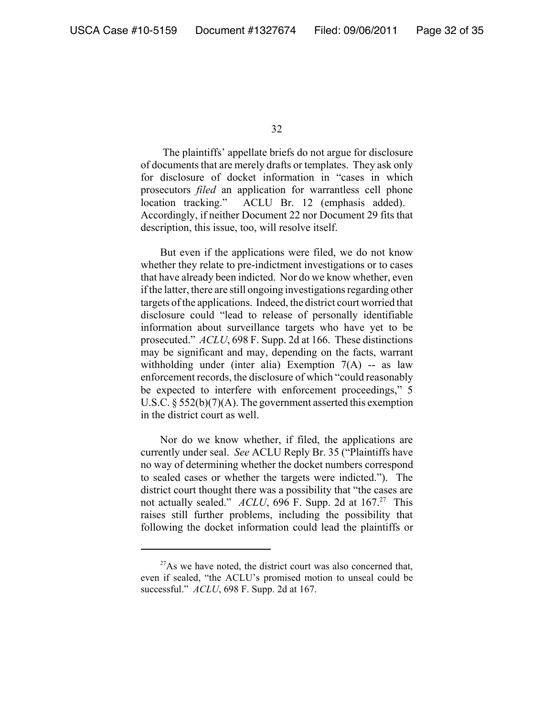The plaintiffs' appellate briefs do not argue for disclosure of documents that are merely drafts or templates. They ask only for disclosure of docket information in "cases in which prosecutors *filed* an application for warrantless cell phone location tracking." ACLU Br. 12 (emphasis added). Accordingly, if neither Document 22 nor Document 29 fits that description, this issue, too, will resolve itself.

But even if the applications were filed, we do not know whether they relate to pre-indictment investigations or to cases that have already been indicted. Nor do we know whether, even if the latter, there are still ongoing investigations regarding other targets of the applications. Indeed, the district court worried that disclosure could "lead to release of personally identifiable information about surveillance targets who have yet to be prosecuted." *ACLU*, 698 F. Supp. 2d at 166. These distinctions may be significant and may, depending on the facts, warrant withholding under (inter alia) Exemption  $7(A)$  -- as law enforcement records, the disclosure of which "could reasonably be expected to interfere with enforcement proceedings," 5 U.S.C. § 552(b)(7)(A). The government asserted this exemption in the district court as well.

Nor do we know whether, if filed, the applications are currently under seal. *See* ACLU Reply Br. 35 ("Plaintiffs have no way of determining whether the docket numbers correspond to sealed cases or whether the targets were indicted."). The district court thought there was a possibility that "the cases are not actually sealed." *ACLU*, 696 F. Supp. 2d at 167.<sup>27</sup> This raises still further problems, including the possibility that following the docket information could lead the plaintiffs or

 $27$ As we have noted, the district court was also concerned that, even if sealed, "the ACLU's promised motion to unseal could be successful." *ACLU*, 698 F. Supp. 2d at 167.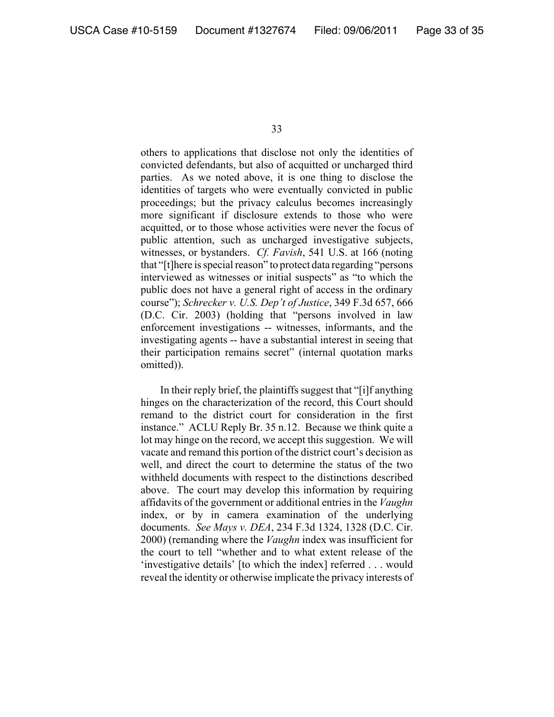others to applications that disclose not only the identities of convicted defendants, but also of acquitted or uncharged third parties. As we noted above, it is one thing to disclose the identities of targets who were eventually convicted in public proceedings; but the privacy calculus becomes increasingly more significant if disclosure extends to those who were acquitted, or to those whose activities were never the focus of public attention, such as uncharged investigative subjects, witnesses, or bystanders. *Cf. Favish*, 541 U.S. at 166 (noting that "[t]here is special reason" to protect data regarding "persons interviewed as witnesses or initial suspects" as "to which the public does not have a general right of access in the ordinary course"); *Schrecker v. U.S. Dep't of Justice*, 349 F.3d 657, 666 (D.C. Cir. 2003) (holding that "persons involved in law enforcement investigations -- witnesses, informants, and the investigating agents -- have a substantial interest in seeing that their participation remains secret" (internal quotation marks omitted)).

In their reply brief, the plaintiffs suggest that "[i]f anything hinges on the characterization of the record, this Court should remand to the district court for consideration in the first instance." ACLU Reply Br. 35 n.12. Because we think quite a lot may hinge on the record, we accept this suggestion. We will vacate and remand this portion of the district court's decision as well, and direct the court to determine the status of the two withheld documents with respect to the distinctions described above. The court may develop this information by requiring affidavits of the government or additional entries in the *Vaughn* index, or by in camera examination of the underlying documents. *See Mays v. DEA*, 234 F.3d 1324, 1328 (D.C. Cir. 2000) (remanding where the *Vaughn* index was insufficient for the court to tell "whether and to what extent release of the 'investigative details' [to which the index] referred . . . would reveal the identity or otherwise implicate the privacy interests of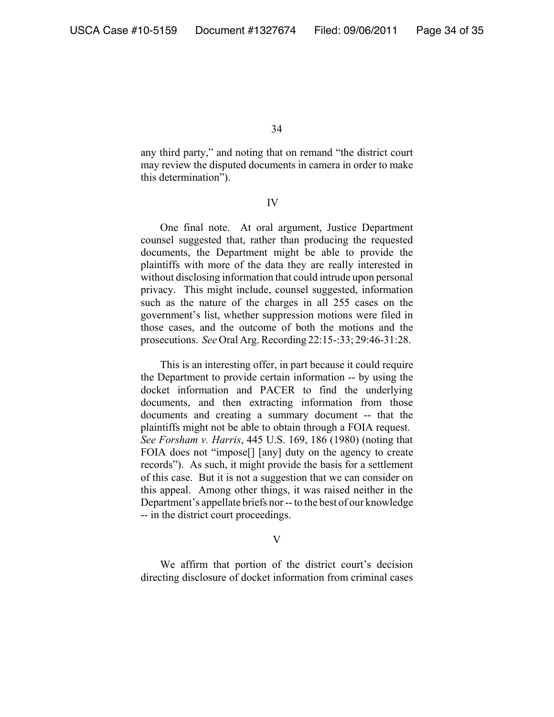any third party," and noting that on remand "the district court may review the disputed documents in camera in order to make this determination").

#### IV

One final note. At oral argument, Justice Department counsel suggested that, rather than producing the requested documents, the Department might be able to provide the plaintiffs with more of the data they are really interested in without disclosing information that could intrude upon personal privacy. This might include, counsel suggested, information such as the nature of the charges in all 255 cases on the government's list, whether suppression motions were filed in those cases, and the outcome of both the motions and the prosecutions. *See* Oral Arg. Recording 22:15-:33; 29:46-31:28.

 This is an interesting offer, in part because it could require the Department to provide certain information -- by using the docket information and PACER to find the underlying documents, and then extracting information from those documents and creating a summary document -- that the plaintiffs might not be able to obtain through a FOIA request. *See Forsham v. Harris*, 445 U.S. 169, 186 (1980) (noting that FOIA does not "impose[] [any] duty on the agency to create records"). As such, it might provide the basis for a settlement of this case. But it is not a suggestion that we can consider on this appeal. Among other things, it was raised neither in the Department's appellate briefs nor -- to the best of our knowledge -- in the district court proceedings.

V

We affirm that portion of the district court's decision directing disclosure of docket information from criminal cases